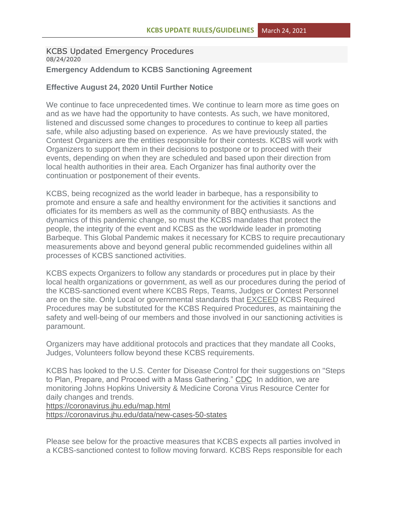# KCBS Updated Emergency Procedures 08/24/2020 **Emergency Addendum to KCBS Sanctioning Agreement**

# **Effective August 24, 2020 Until Further Notice**

We continue to face unprecedented times. We continue to learn more as time goes on and as we have had the opportunity to have contests. As such, we have monitored, listened and discussed some changes to procedures to continue to keep all parties safe, while also adjusting based on experience. As we have previously stated, the Contest Organizers are the entities responsible for their contests. KCBS will work with Organizers to support them in their decisions to postpone or to proceed with their events, depending on when they are scheduled and based upon their direction from local health authorities in their area. Each Organizer has final authority over the continuation or postponement of their events.

KCBS, being recognized as the world leader in barbeque, has a responsibility to promote and ensure a safe and healthy environment for the activities it sanctions and officiates for its members as well as the community of BBQ enthusiasts. As the dynamics of this pandemic change, so must the KCBS mandates that protect the people, the integrity of the event and KCBS as the worldwide leader in promoting Barbeque. This Global Pandemic makes it necessary for KCBS to require precautionary measurements above and beyond general public recommended guidelines within all processes of KCBS sanctioned activities.

KCBS expects Organizers to follow any standards or procedures put in place by their local health organizations or government, as well as our procedures during the period of the KCBS-sanctioned event where KCBS Reps, Teams, Judges or Contest Personnel are on the site. Only Local or governmental standards that EXCEED KCBS Required Procedures may be substituted for the KCBS Required Procedures, as maintaining the safety and well-being of our members and those involved in our sanctioning activities is paramount.

Organizers may have additional protocols and practices that they mandate all Cooks, Judges, Volunteers follow beyond these KCBS requirements.

KCBS has looked to the U.S. Center for Disease Control for their suggestions on "Steps to Plan, Prepare, and Proceed with a Mass Gathering." [CDC](https://www.cdc.gov/coronavirus/2019-ncov/community/large-events/mass-gatherings-ready-for-covid-19.html#plan-prepare) In addition, we are monitoring Johns Hopkins University & Medicine Corona Virus Resource Center for daily changes and trends.

<https://coronavirus.jhu.edu/map.html>

<https://coronavirus.jhu.edu/data/new-cases-50-states>

Please see below for the proactive measures that KCBS expects all parties involved in a KCBS-sanctioned contest to follow moving forward. KCBS Reps responsible for each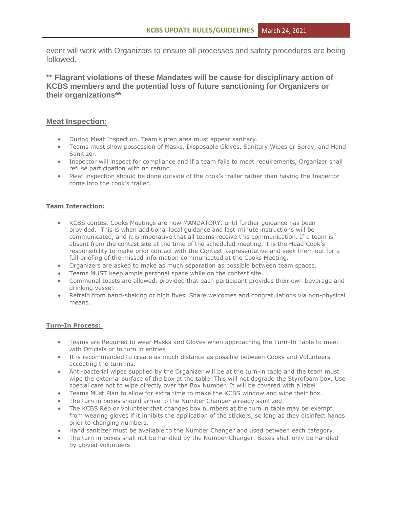event will work with Organizers to ensure all processes and safety procedures are being followed.

**\*\* Flagrant violations of these Mandates will be cause for disciplinary action of KCBS members and the potential loss of future sanctioning for Organizers or their organizations\*\***

### **Meat Inspection:**

- During Meat Inspection, Team's prep area must appear sanitary.
- Teams must show possession of Masks, Disposable Gloves, Sanitary Wipes or Spray, and Hand Sanitizer.
- Inspector will inspect for compliance and if a team fails to meet requirements, Organizer shall refuse participation with no refund.
- Meat inspection should be done outside of the cook's trailer rather than having the Inspector come into the cook's trailer.

### **Team Interaction:**

- KCBS contest Cooks Meetings are now MANDATORY, until further guidance has been provided. This is when additional local guidance and last-minute instructions will be communicated, and it is imperative that all teams receive this communication. If a team is absent from the contest site at the time of the scheduled meeting, it is the Head Cook's responsibility to make prior contact with the Contest Representative and seek them out for a full briefing of the missed information communicated at the Cooks Meeting.
- Organizers are asked to make as much separation as possible between team spaces.
- Teams MUST keep ample personal space while on the contest site.
- Communal toasts are allowed, provided that each participant provides their own beverage and drinking vessel.
- Refrain from hand-shaking or high fives. Share welcomes and congratulations via non-physical means.

#### **Turn-In Process:**

- Teams are Required to wear Masks and Gloves when approaching the Turn-In Table to meet with Officials or to turn in entries
- It is recommended to create as much distance as possible between Cooks and Volunteers accepting the turn-ins.
- Anti-bacterial wipes supplied by the Organizer will be at the turn-in table and the team must wipe the external surface of the box at the table. This will not degrade the Styrofoam box. Use special care not to wipe directly over the Box Number. It will be covered with a label
- Teams Must Plan to allow for extra time to make the KCBS window and wipe their box.
- The turn in boxes should arrive to the Number Changer already sanitized.
- The KCBS Rep or volunteer that changes box numbers at the turn in table may be exempt from wearing gloves if it inhibits the application of the stickers, so long as they disinfect hands prior to changing numbers.
- Hand sanitizer must be available to the Number Changer and used between each category.
- The turn in boxes shall not be handled by the Number Changer. Boxes shall only be handled by gloved volunteers.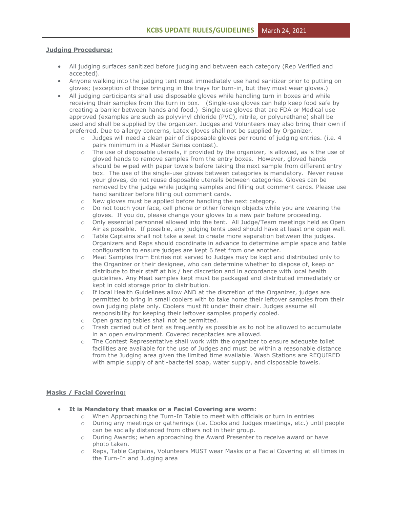#### **Judging Procedures:**

- All judging surfaces sanitized before judging and between each category (Rep Verified and accepted).
- Anyone walking into the judging tent must immediately use hand sanitizer prior to putting on gloves; (exception of those bringing in the trays for turn-in, but they must wear gloves.)
- All judging participants shall use disposable gloves while handling turn in boxes and while receiving their samples from the turn in box. (Single-use gloves can help keep food safe by creating a barrier between hands and food.) Single use gloves that are FDA or Medical use approved (examples are such as polyvinyl chloride (PVC), nitrile, or polyurethane) shall be used and shall be supplied by the organizer. Judges and Volunteers may also bring their own if preferred. Due to allergy concerns, Latex gloves shall not be supplied by Organizer.
	- o Judges will need a clean pair of disposable gloves per round of judging entries. (i.e. 4 pairs minimum in a Master Series contest).
	- o The use of disposable utensils, if provided by the organizer, is allowed, as is the use of gloved hands to remove samples from the entry boxes. However, gloved hands should be wiped with paper towels before taking the next sample from different entry box. The use of the single-use gloves between categories is mandatory. Never reuse your gloves, do not reuse disposable utensils between categories. Gloves can be removed by the judge while judging samples and filling out comment cards. Please use hand sanitizer before filling out comment cards.
	- o New gloves must be applied before handling the next category.
	- o Do not touch your face, cell phone or other foreign objects while you are wearing the gloves. If you do, please change your gloves to a new pair before proceeding.
	- o Only essential personnel allowed into the tent. All Judge/Team meetings held as Open Air as possible. If possible, any judging tents used should have at least one open wall.
	- o Table Captains shall not take a seat to create more separation between the judges. Organizers and Reps should coordinate in advance to determine ample space and table configuration to ensure judges are kept 6 feet from one another.
	- o Meat Samples from Entries not served to Judges may be kept and distributed only to the Organizer or their designee, who can determine whether to dispose of, keep or distribute to their staff at his / her discretion and in accordance with local health guidelines. Any Meat samples kept must be packaged and distributed immediately or kept in cold storage prior to distribution.
	- o If local Health Guidelines allow AND at the discretion of the Organizer, judges are permitted to bring in small coolers with to take home their leftover samples from their own judging plate only. Coolers must fit under their chair. Judges assume all responsibility for keeping their leftover samples properly cooled.
	- o Open grazing tables shall not be permitted.
	- o Trash carried out of tent as frequently as possible as to not be allowed to accumulate in an open environment. Covered receptacles are allowed.
	- o The Contest Representative shall work with the organizer to ensure adequate toilet facilities are available for the use of Judges and must be within a reasonable distance from the Judging area given the limited time available. Wash Stations are REQUIRED with ample supply of anti-bacterial soap, water supply, and disposable towels.

#### **Masks / Facial Covering:**

- **It is Mandatory that masks or a Facial Covering are worn**:
	- o When Approaching the Turn-In Table to meet with officials or turn in entries
	- o During any meetings or gatherings (i.e. Cooks and Judges meetings, etc.) until people can be socially distanced from others not in their group.
	- o During Awards; when approaching the Award Presenter to receive award or have photo taken.
	- o Reps, Table Captains, Volunteers MUST wear Masks or a Facial Covering at all times in the Turn-In and Judging area